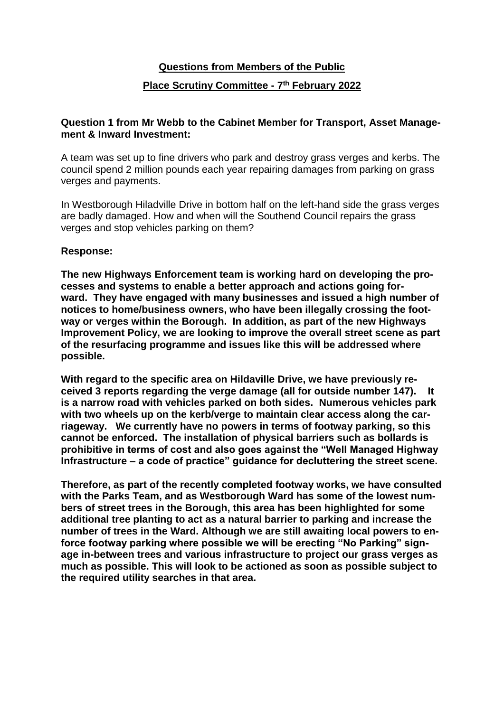# **Questions from Members of the Public Place Scrutiny Committee - 7 th February 2022**

### **Question 1 from Mr Webb to the Cabinet Member for Transport, Asset Management & Inward Investment:**

A team was set up to fine drivers who park and destroy grass verges and kerbs. The council spend 2 million pounds each year repairing damages from parking on grass verges and payments.

In Westborough Hiladville Drive in bottom half on the left-hand side the grass verges are badly damaged. How and when will the Southend Council repairs the grass verges and stop vehicles parking on them?

### **Response:**

**The new Highways Enforcement team is working hard on developing the processes and systems to enable a better approach and actions going forward. They have engaged with many businesses and issued a high number of notices to home/business owners, who have been illegally crossing the footway or verges within the Borough. In addition, as part of the new Highways Improvement Policy, we are looking to improve the overall street scene as part of the resurfacing programme and issues like this will be addressed where possible.**

**With regard to the specific area on Hildaville Drive, we have previously received 3 reports regarding the verge damage (all for outside number 147). It is a narrow road with vehicles parked on both sides. Numerous vehicles park with two wheels up on the kerb/verge to maintain clear access along the carriageway. We currently have no powers in terms of footway parking, so this cannot be enforced. The installation of physical barriers such as bollards is prohibitive in terms of cost and also goes against the "Well Managed Highway Infrastructure – a code of practice" guidance for decluttering the street scene.**

**Therefore, as part of the recently completed footway works, we have consulted with the Parks Team, and as Westborough Ward has some of the lowest numbers of street trees in the Borough, this area has been highlighted for some additional tree planting to act as a natural barrier to parking and increase the number of trees in the Ward. Although we are still awaiting local powers to enforce footway parking where possible we will be erecting "No Parking" signage in-between trees and various infrastructure to project our grass verges as much as possible. This will look to be actioned as soon as possible subject to the required utility searches in that area.**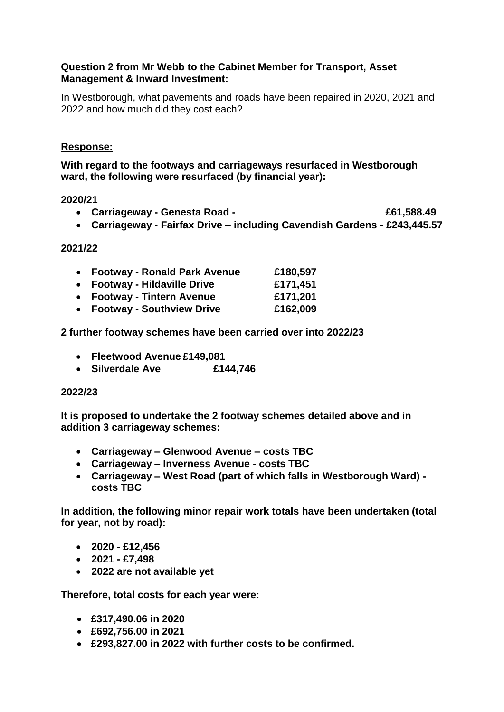### **Question 2 from Mr Webb to the Cabinet Member for Transport, Asset Management & Inward Investment:**

In Westborough, what pavements and roads have been repaired in 2020, 2021 and 2022 and how much did they cost each?

### **Response:**

**With regard to the footways and carriageways resurfaced in Westborough ward, the following were resurfaced (by financial year):**

### **2020/21**

- **Carriageway - Genesta Road £61,588.49**
- **Carriageway - Fairfax Drive – including Cavendish Gardens - £243,445.57**

#### **2021/22**

| • Footway - Ronald Park Avenue | £180,597 |
|--------------------------------|----------|
| • Footway - Hildaville Drive   | £171,451 |
| • Footway - Tintern Avenue     | £171,201 |
| • Footway - Southview Drive    | £162,009 |

### **2 further footway schemes have been carried over into 2022/23**

- **Fleetwood Avenue £149,081**
- **Silverdale Ave £144,746**

### **2022/23**

**It is proposed to undertake the 2 footway schemes detailed above and in addition 3 carriageway schemes:**

- **Carriageway – Glenwood Avenue – costs TBC**
- **Carriageway – Inverness Avenue - costs TBC**
- **Carriageway – West Road (part of which falls in Westborough Ward) costs TBC**

**In addition, the following minor repair work totals have been undertaken (total for year, not by road):**

- **2020 - £12,456**
- **2021 - £7,498**
- **2022 are not available yet**

**Therefore, total costs for each year were:**

- **£317,490.06 in 2020**
- **£692,756.00 in 2021**
- **£293,827.00 in 2022 with further costs to be confirmed.**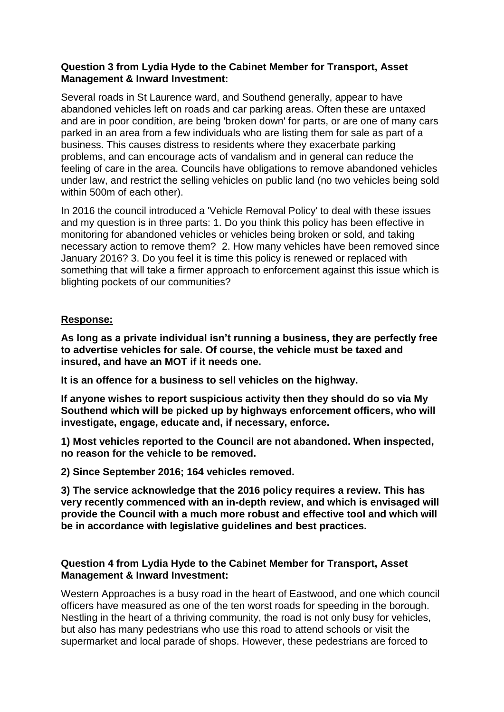### **Question 3 from Lydia Hyde to the Cabinet Member for Transport, Asset Management & Inward Investment:**

Several roads in St Laurence ward, and Southend generally, appear to have abandoned vehicles left on roads and car parking areas. Often these are untaxed and are in poor condition, are being 'broken down' for parts, or are one of many cars parked in an area from a few individuals who are listing them for sale as part of a business. This causes distress to residents where they exacerbate parking problems, and can encourage acts of vandalism and in general can reduce the feeling of care in the area. Councils have obligations to remove abandoned vehicles under law, and restrict the selling vehicles on public land (no two vehicles being sold within 500m of each other).

In 2016 the council introduced a 'Vehicle Removal Policy' to deal with these issues and my question is in three parts: 1. Do you think this policy has been effective in monitoring for abandoned vehicles or vehicles being broken or sold, and taking necessary action to remove them? 2. How many vehicles have been removed since January 2016? 3. Do you feel it is time this policy is renewed or replaced with something that will take a firmer approach to enforcement against this issue which is blighting pockets of our communities?

### **Response:**

**As long as a private individual isn't running a business, they are perfectly free to advertise vehicles for sale. Of course, the vehicle must be taxed and insured, and have an MOT if it needs one.** 

**It is an offence for a business to sell vehicles on the highway.** 

**If anyone wishes to report suspicious activity then they should do so via My Southend which will be picked up by highways enforcement officers, who will investigate, engage, educate and, if necessary, enforce.**

**1) Most vehicles reported to the Council are not abandoned. When inspected, no reason for the vehicle to be removed.** 

**2) Since September 2016; 164 vehicles removed.** 

**3) The service acknowledge that the 2016 policy requires a review. This has very recently commenced with an in-depth review, and which is envisaged will provide the Council with a much more robust and effective tool and which will be in accordance with legislative guidelines and best practices.**

### **Question 4 from Lydia Hyde to the Cabinet Member for Transport, Asset Management & Inward Investment:**

Western Approaches is a busy road in the heart of Eastwood, and one which council officers have measured as one of the ten worst roads for speeding in the borough. Nestling in the heart of a thriving community, the road is not only busy for vehicles, but also has many pedestrians who use this road to attend schools or visit the supermarket and local parade of shops. However, these pedestrians are forced to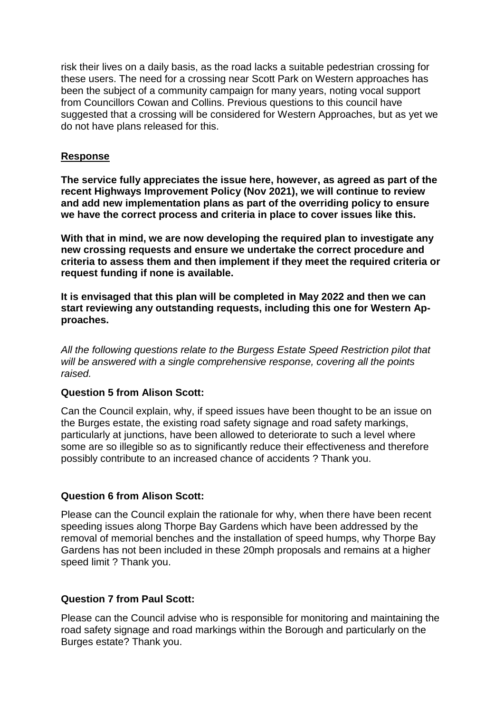risk their lives on a daily basis, as the road lacks a suitable pedestrian crossing for these users. The need for a crossing near Scott Park on Western approaches has been the subject of a community campaign for many years, noting vocal support from Councillors Cowan and Collins. Previous questions to this council have suggested that a crossing will be considered for Western Approaches, but as yet we do not have plans released for this.

### **Response**

**The service fully appreciates the issue here, however, as agreed as part of the recent Highways Improvement Policy (Nov 2021), we will continue to review and add new implementation plans as part of the overriding policy to ensure we have the correct process and criteria in place to cover issues like this.** 

**With that in mind, we are now developing the required plan to investigate any new crossing requests and ensure we undertake the correct procedure and criteria to assess them and then implement if they meet the required criteria or request funding if none is available.** 

**It is envisaged that this plan will be completed in May 2022 and then we can start reviewing any outstanding requests, including this one for Western Approaches.** 

*All the following questions relate to the Burgess Estate Speed Restriction pilot that will be answered with a single comprehensive response, covering all the points raised.*

### **Question 5 from Alison Scott:**

Can the Council explain, why, if speed issues have been thought to be an issue on the Burges estate, the existing road safety signage and road safety markings, particularly at junctions, have been allowed to deteriorate to such a level where some are so illegible so as to significantly reduce their effectiveness and therefore possibly contribute to an increased chance of accidents ? Thank you.

### **Question 6 from Alison Scott:**

Please can the Council explain the rationale for why, when there have been recent speeding issues along Thorpe Bay Gardens which have been addressed by the removal of memorial benches and the installation of speed humps, why Thorpe Bay Gardens has not been included in these 20mph proposals and remains at a higher speed limit ? Thank you.

### **Question 7 from Paul Scott:**

Please can the Council advise who is responsible for monitoring and maintaining the road safety signage and road markings within the Borough and particularly on the Burges estate? Thank you.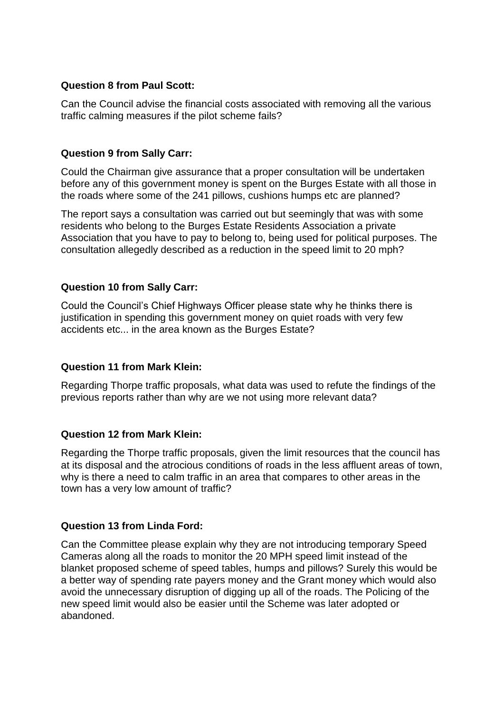# **Question 8 from Paul Scott:**

Can the Council advise the financial costs associated with removing all the various traffic calming measures if the pilot scheme fails?

### **Question 9 from Sally Carr:**

Could the Chairman give assurance that a proper consultation will be undertaken before any of this government money is spent on the Burges Estate with all those in the roads where some of the 241 pillows, cushions humps etc are planned?

The report says a consultation was carried out but seemingly that was with some residents who belong to the Burges Estate Residents Association a private Association that you have to pay to belong to, being used for political purposes. The consultation allegedly described as a reduction in the speed limit to 20 mph?

### **Question 10 from Sally Carr:**

Could the Council's Chief Highways Officer please state why he thinks there is justification in spending this government money on quiet roads with very few accidents etc... in the area known as the Burges Estate?

### **Question 11 from Mark Klein:**

Regarding Thorpe traffic proposals, what data was used to refute the findings of the previous reports rather than why are we not using more relevant data?

# **Question 12 from Mark Klein:**

Regarding the Thorpe traffic proposals, given the limit resources that the council has at its disposal and the atrocious conditions of roads in the less affluent areas of town, why is there a need to calm traffic in an area that compares to other areas in the town has a very low amount of traffic?

# **Question 13 from Linda Ford:**

Can the Committee please explain why they are not introducing temporary Speed Cameras along all the roads to monitor the 20 MPH speed limit instead of the blanket proposed scheme of speed tables, humps and pillows? Surely this would be a better way of spending rate payers money and the Grant money which would also avoid the unnecessary disruption of digging up all of the roads. The Policing of the new speed limit would also be easier until the Scheme was later adopted or abandoned.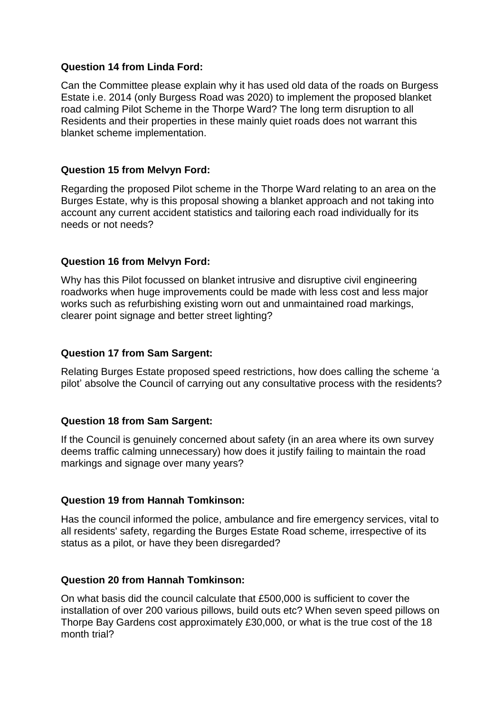### **Question 14 from Linda Ford:**

Can the Committee please explain why it has used old data of the roads on Burgess Estate i.e. 2014 (only Burgess Road was 2020) to implement the proposed blanket road calming Pilot Scheme in the Thorpe Ward? The long term disruption to all Residents and their properties in these mainly quiet roads does not warrant this blanket scheme implementation.

# **Question 15 from Melvyn Ford:**

Regarding the proposed Pilot scheme in the Thorpe Ward relating to an area on the Burges Estate, why is this proposal showing a blanket approach and not taking into account any current accident statistics and tailoring each road individually for its needs or not needs?

### **Question 16 from Melvyn Ford:**

Why has this Pilot focussed on blanket intrusive and disruptive civil engineering roadworks when huge improvements could be made with less cost and less major works such as refurbishing existing worn out and unmaintained road markings, clearer point signage and better street lighting?

### **Question 17 from Sam Sargent:**

Relating Burges Estate proposed speed restrictions, how does calling the scheme 'a pilot' absolve the Council of carrying out any consultative process with the residents?

### **Question 18 from Sam Sargent:**

If the Council is genuinely concerned about safety (in an area where its own survey deems traffic calming unnecessary) how does it justify failing to maintain the road markings and signage over many years?

### **Question 19 from Hannah Tomkinson:**

Has the council informed the police, ambulance and fire emergency services, vital to all residents' safety, regarding the Burges Estate Road scheme, irrespective of its status as a pilot, or have they been disregarded?

### **Question 20 from Hannah Tomkinson:**

On what basis did the council calculate that £500,000 is sufficient to cover the installation of over 200 various pillows, build outs etc? When seven speed pillows on Thorpe Bay Gardens cost approximately £30,000, or what is the true cost of the 18 month trial?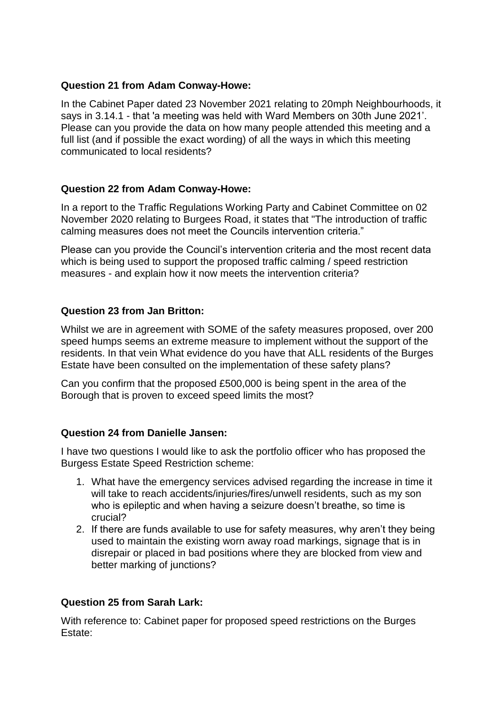# **Question 21 from Adam Conway-Howe:**

In the Cabinet Paper dated 23 November 2021 relating to 20mph Neighbourhoods, it says in 3.14.1 - that 'a meeting was held with Ward Members on 30th June 2021'. Please can you provide the data on how many people attended this meeting and a full list (and if possible the exact wording) of all the ways in which this meeting communicated to local residents?

### **Question 22 from Adam Conway-Howe:**

In a report to the Traffic Regulations Working Party and Cabinet Committee on 02 November 2020 relating to Burgees Road, it states that "The introduction of traffic calming measures does not meet the Councils intervention criteria."

Please can you provide the Council's intervention criteria and the most recent data which is being used to support the proposed traffic calming / speed restriction measures - and explain how it now meets the intervention criteria?

# **Question 23 from Jan Britton:**

Whilst we are in agreement with SOME of the safety measures proposed, over 200 speed humps seems an extreme measure to implement without the support of the residents. In that vein What evidence do you have that ALL residents of the Burges Estate have been consulted on the implementation of these safety plans?

Can you confirm that the proposed £500,000 is being spent in the area of the Borough that is proven to exceed speed limits the most?

### **Question 24 from Danielle Jansen:**

I have two questions I would like to ask the portfolio officer who has proposed the Burgess Estate Speed Restriction scheme:

- 1. What have the emergency services advised regarding the increase in time it will take to reach accidents/injuries/fires/unwell residents, such as my son who is epileptic and when having a seizure doesn't breathe, so time is crucial?
- 2. If there are funds available to use for safety measures, why aren't they being used to maintain the existing worn away road markings, signage that is in disrepair or placed in bad positions where they are blocked from view and better marking of junctions?

# **Question 25 from Sarah Lark:**

With reference to: Cabinet paper for proposed speed restrictions on the Burges Estate: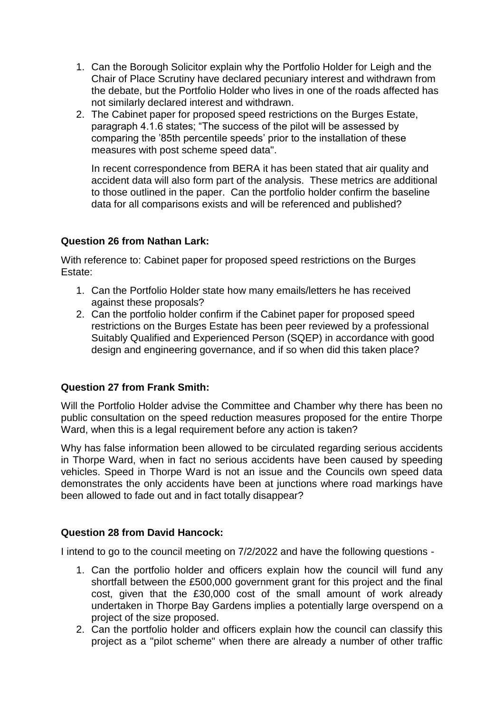- 1. Can the Borough Solicitor explain why the Portfolio Holder for Leigh and the Chair of Place Scrutiny have declared pecuniary interest and withdrawn from the debate, but the Portfolio Holder who lives in one of the roads affected has not similarly declared interest and withdrawn.
- 2. The Cabinet paper for proposed speed restrictions on the Burges Estate, paragraph 4.1.6 states; "The success of the pilot will be assessed by comparing the '85th percentile speeds' prior to the installation of these measures with post scheme speed data".

In recent correspondence from BERA it has been stated that air quality and accident data will also form part of the analysis. These metrics are additional to those outlined in the paper. Can the portfolio holder confirm the baseline data for all comparisons exists and will be referenced and published?

### **Question 26 from Nathan Lark:**

With reference to: Cabinet paper for proposed speed restrictions on the Burges Estate:

- 1. Can the Portfolio Holder state how many emails/letters he has received against these proposals?
- 2. Can the portfolio holder confirm if the Cabinet paper for proposed speed restrictions on the Burges Estate has been peer reviewed by a professional Suitably Qualified and Experienced Person (SQEP) in accordance with good design and engineering governance, and if so when did this taken place?

# **Question 27 from Frank Smith:**

Will the Portfolio Holder advise the Committee and Chamber why there has been no public consultation on the speed reduction measures proposed for the entire Thorpe Ward, when this is a legal requirement before any action is taken?

Why has false information been allowed to be circulated regarding serious accidents in Thorpe Ward, when in fact no serious accidents have been caused by speeding vehicles. Speed in Thorpe Ward is not an issue and the Councils own speed data demonstrates the only accidents have been at junctions where road markings have been allowed to fade out and in fact totally disappear?

# **Question 28 from David Hancock:**

I intend to go to the council meeting on 7/2/2022 and have the following questions -

- 1. Can the portfolio holder and officers explain how the council will fund any shortfall between the £500,000 government grant for this project and the final cost, given that the £30,000 cost of the small amount of work already undertaken in Thorpe Bay Gardens implies a potentially large overspend on a project of the size proposed.
- 2. Can the portfolio holder and officers explain how the council can classify this project as a "pilot scheme" when there are already a number of other traffic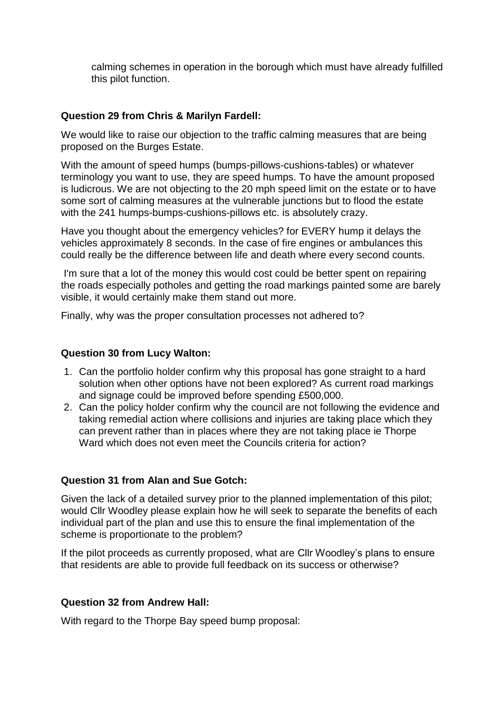calming schemes in operation in the borough which must have already fulfilled this pilot function.

# **Question 29 from Chris & Marilyn Fardell:**

We would like to raise our objection to the traffic calming measures that are being proposed on the Burges Estate.

With the amount of speed humps (bumps-pillows-cushions-tables) or whatever terminology you want to use, they are speed humps. To have the amount proposed is ludicrous. We are not objecting to the 20 mph speed limit on the estate or to have some sort of calming measures at the vulnerable junctions but to flood the estate with the 241 humps-bumps-cushions-pillows etc. is absolutely crazy.

Have you thought about the emergency vehicles? for EVERY hump it delays the vehicles approximately 8 seconds. In the case of fire engines or ambulances this could really be the difference between life and death where every second counts.

I'm sure that a lot of the money this would cost could be better spent on repairing the roads especially potholes and getting the road markings painted some are barely visible, it would certainly make them stand out more.

Finally, why was the proper consultation processes not adhered to?

### **Question 30 from Lucy Walton:**

- 1. Can the portfolio holder confirm why this proposal has gone straight to a hard solution when other options have not been explored? As current road markings and signage could be improved before spending £500,000.
- 2. Can the policy holder confirm why the council are not following the evidence and taking remedial action where collisions and injuries are taking place which they can prevent rather than in places where they are not taking place ie Thorpe Ward which does not even meet the Councils criteria for action?

### **Question 31 from Alan and Sue Gotch:**

Given the lack of a detailed survey prior to the planned implementation of this pilot; would Cllr Woodley please explain how he will seek to separate the benefits of each individual part of the plan and use this to ensure the final implementation of the scheme is proportionate to the problem?

If the pilot proceeds as currently proposed, what are Cllr Woodley's plans to ensure that residents are able to provide full feedback on its success or otherwise?

### **Question 32 from Andrew Hall:**

With regard to the Thorpe Bay speed bump proposal: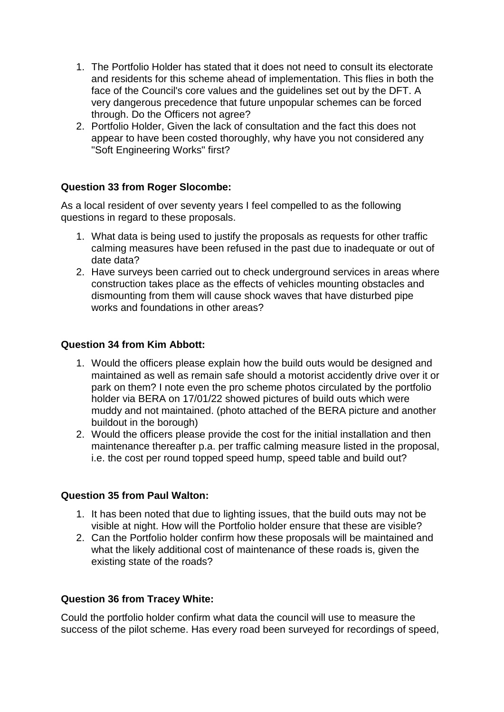- 1. The Portfolio Holder has stated that it does not need to consult its electorate and residents for this scheme ahead of implementation. This flies in both the face of the Council's core values and the guidelines set out by the DFT. A very dangerous precedence that future unpopular schemes can be forced through. Do the Officers not agree?
- 2. Portfolio Holder, Given the lack of consultation and the fact this does not appear to have been costed thoroughly, why have you not considered any "Soft Engineering Works" first?

# **Question 33 from Roger Slocombe:**

As a local resident of over seventy years I feel compelled to as the following questions in regard to these proposals.

- 1. What data is being used to justify the proposals as requests for other traffic calming measures have been refused in the past due to inadequate or out of date data?
- 2. Have surveys been carried out to check underground services in areas where construction takes place as the effects of vehicles mounting obstacles and dismounting from them will cause shock waves that have disturbed pipe works and foundations in other areas?

### **Question 34 from Kim Abbott:**

- 1. Would the officers please explain how the build outs would be designed and maintained as well as remain safe should a motorist accidently drive over it or park on them? I note even the pro scheme photos circulated by the portfolio holder via BERA on 17/01/22 showed pictures of build outs which were muddy and not maintained. (photo attached of the BERA picture and another buildout in the borough)
- 2. Would the officers please provide the cost for the initial installation and then maintenance thereafter p.a. per traffic calming measure listed in the proposal, i.e. the cost per round topped speed hump, speed table and build out?

### **Question 35 from Paul Walton:**

- 1. It has been noted that due to lighting issues, that the build outs may not be visible at night. How will the Portfolio holder ensure that these are visible?
- 2. Can the Portfolio holder confirm how these proposals will be maintained and what the likely additional cost of maintenance of these roads is, given the existing state of the roads?

### **Question 36 from Tracey White:**

Could the portfolio holder confirm what data the council will use to measure the success of the pilot scheme. Has every road been surveyed for recordings of speed,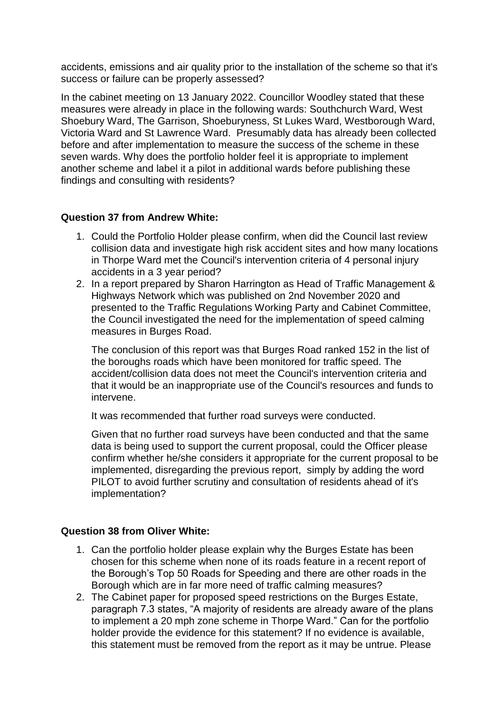accidents, emissions and air quality prior to the installation of the scheme so that it's success or failure can be properly assessed?

In the cabinet meeting on 13 January 2022. Councillor Woodley stated that these measures were already in place in the following wards: Southchurch Ward, West Shoebury Ward, The Garrison, Shoeburyness, St Lukes Ward, Westborough Ward, Victoria Ward and St Lawrence Ward. Presumably data has already been collected before and after implementation to measure the success of the scheme in these seven wards. Why does the portfolio holder feel it is appropriate to implement another scheme and label it a pilot in additional wards before publishing these findings and consulting with residents?

# **Question 37 from Andrew White:**

- 1. Could the Portfolio Holder please confirm, when did the Council last review collision data and investigate high risk accident sites and how many locations in Thorpe Ward met the Council's intervention criteria of 4 personal injury accidents in a 3 year period?
- 2. In a report prepared by Sharon Harrington as Head of Traffic Management & Highways Network which was published on 2nd November 2020 and presented to the Traffic Regulations Working Party and Cabinet Committee, the Council investigated the need for the implementation of speed calming measures in Burges Road.

The conclusion of this report was that Burges Road ranked 152 in the list of the boroughs roads which have been monitored for traffic speed. The accident/collision data does not meet the Council's intervention criteria and that it would be an inappropriate use of the Council's resources and funds to intervene.

It was recommended that further road surveys were conducted.

Given that no further road surveys have been conducted and that the same data is being used to support the current proposal, could the Officer please confirm whether he/she considers it appropriate for the current proposal to be implemented, disregarding the previous report, simply by adding the word PILOT to avoid further scrutiny and consultation of residents ahead of it's implementation?

# **Question 38 from Oliver White:**

- 1. Can the portfolio holder please explain why the Burges Estate has been chosen for this scheme when none of its roads feature in a recent report of the Borough's Top 50 Roads for Speeding and there are other roads in the Borough which are in far more need of traffic calming measures?
- 2. The Cabinet paper for proposed speed restrictions on the Burges Estate, paragraph 7.3 states, "A majority of residents are already aware of the plans to implement a 20 mph zone scheme in Thorpe Ward." Can for the portfolio holder provide the evidence for this statement? If no evidence is available, this statement must be removed from the report as it may be untrue. Please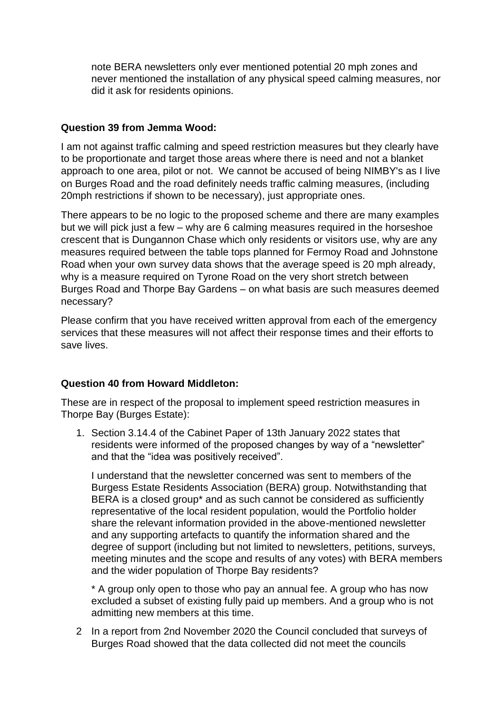note BERA newsletters only ever mentioned potential 20 mph zones and never mentioned the installation of any physical speed calming measures, nor did it ask for residents opinions.

### **Question 39 from Jemma Wood:**

I am not against traffic calming and speed restriction measures but they clearly have to be proportionate and target those areas where there is need and not a blanket approach to one area, pilot or not. We cannot be accused of being NIMBY's as I live on Burges Road and the road definitely needs traffic calming measures, (including 20mph restrictions if shown to be necessary), just appropriate ones.

There appears to be no logic to the proposed scheme and there are many examples but we will pick just a few – why are 6 calming measures required in the horseshoe crescent that is Dungannon Chase which only residents or visitors use, why are any measures required between the table tops planned for Fermoy Road and Johnstone Road when your own survey data shows that the average speed is 20 mph already, why is a measure required on Tyrone Road on the very short stretch between Burges Road and Thorpe Bay Gardens – on what basis are such measures deemed necessary?

Please confirm that you have received written approval from each of the emergency services that these measures will not affect their response times and their efforts to save lives.

### **Question 40 from Howard Middleton:**

These are in respect of the proposal to implement speed restriction measures in Thorpe Bay (Burges Estate):

1. Section 3.14.4 of the Cabinet Paper of 13th January 2022 states that residents were informed of the proposed changes by way of a "newsletter" and that the "idea was positively received".

I understand that the newsletter concerned was sent to members of the Burgess Estate Residents Association (BERA) group. Notwithstanding that BERA is a closed group\* and as such cannot be considered as sufficiently representative of the local resident population, would the Portfolio holder share the relevant information provided in the above-mentioned newsletter and any supporting artefacts to quantify the information shared and the degree of support (including but not limited to newsletters, petitions, surveys, meeting minutes and the scope and results of any votes) with BERA members and the wider population of Thorpe Bay residents?

\* A group only open to those who pay an annual fee. A group who has now excluded a subset of existing fully paid up members. And a group who is not admitting new members at this time.

2 In a report from 2nd November 2020 the Council concluded that surveys of Burges Road showed that the data collected did not meet the councils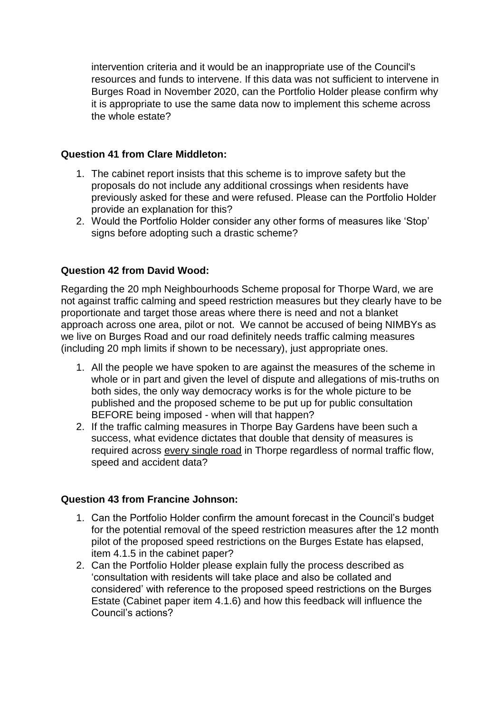intervention criteria and it would be an inappropriate use of the Council's resources and funds to intervene. If this data was not sufficient to intervene in Burges Road in November 2020, can the Portfolio Holder please confirm why it is appropriate to use the same data now to implement this scheme across the whole estate?

### **Question 41 from Clare Middleton:**

- 1. The cabinet report insists that this scheme is to improve safety but the proposals do not include any additional crossings when residents have previously asked for these and were refused. Please can the Portfolio Holder provide an explanation for this?
- 2. Would the Portfolio Holder consider any other forms of measures like 'Stop' signs before adopting such a drastic scheme?

### **Question 42 from David Wood:**

Regarding the 20 mph Neighbourhoods Scheme proposal for Thorpe Ward, we are not against traffic calming and speed restriction measures but they clearly have to be proportionate and target those areas where there is need and not a blanket approach across one area, pilot or not. We cannot be accused of being NIMBYs as we live on Burges Road and our road definitely needs traffic calming measures (including 20 mph limits if shown to be necessary), just appropriate ones.

- 1. All the people we have spoken to are against the measures of the scheme in whole or in part and given the level of dispute and allegations of mis-truths on both sides, the only way democracy works is for the whole picture to be published and the proposed scheme to be put up for public consultation BEFORE being imposed - when will that happen?
- 2. If the traffic calming measures in Thorpe Bay Gardens have been such a success, what evidence dictates that double that density of measures is required across every single road in Thorpe regardless of normal traffic flow, speed and accident data?

### **Question 43 from Francine Johnson:**

- 1. Can the Portfolio Holder confirm the amount forecast in the Council's budget for the potential removal of the speed restriction measures after the 12 month pilot of the proposed speed restrictions on the Burges Estate has elapsed, item 4.1.5 in the cabinet paper?
- 2. Can the Portfolio Holder please explain fully the process described as 'consultation with residents will take place and also be collated and considered' with reference to the proposed speed restrictions on the Burges Estate (Cabinet paper item 4.1.6) and how this feedback will influence the Council's actions?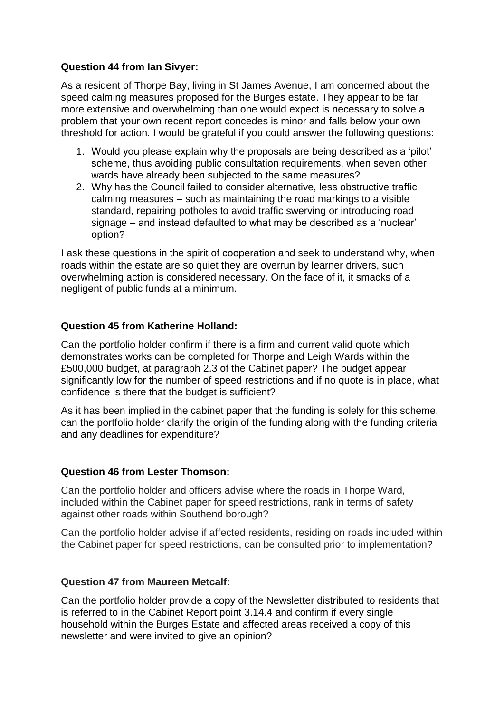### **Question 44 from Ian Sivyer:**

As a resident of Thorpe Bay, living in St James Avenue, I am concerned about the speed calming measures proposed for the Burges estate. They appear to be far more extensive and overwhelming than one would expect is necessary to solve a problem that your own recent report concedes is minor and falls below your own threshold for action. I would be grateful if you could answer the following questions:

- 1. Would you please explain why the proposals are being described as a 'pilot' scheme, thus avoiding public consultation requirements, when seven other wards have already been subjected to the same measures?
- 2. Why has the Council failed to consider alternative, less obstructive traffic calming measures – such as maintaining the road markings to a visible standard, repairing potholes to avoid traffic swerving or introducing road signage – and instead defaulted to what may be described as a 'nuclear' option?

I ask these questions in the spirit of cooperation and seek to understand why, when roads within the estate are so quiet they are overrun by learner drivers, such overwhelming action is considered necessary. On the face of it, it smacks of a negligent of public funds at a minimum.

# **Question 45 from Katherine Holland:**

Can the portfolio holder confirm if there is a firm and current valid quote which demonstrates works can be completed for Thorpe and Leigh Wards within the £500,000 budget, at paragraph 2.3 of the Cabinet paper? The budget appear significantly low for the number of speed restrictions and if no quote is in place, what confidence is there that the budget is sufficient?

As it has been implied in the cabinet paper that the funding is solely for this scheme, can the portfolio holder clarify the origin of the funding along with the funding criteria and any deadlines for expenditure?

# **Question 46 from Lester Thomson:**

Can the portfolio holder and officers advise where the roads in Thorpe Ward, included within the Cabinet paper for speed restrictions, rank in terms of safety against other roads within Southend borough?

Can the portfolio holder advise if affected residents, residing on roads included within the Cabinet paper for speed restrictions, can be consulted prior to implementation?

# **Question 47 from Maureen Metcalf:**

Can the portfolio holder provide a copy of the Newsletter distributed to residents that is referred to in the Cabinet Report point 3.14.4 and confirm if every single household within the Burges Estate and affected areas received a copy of this newsletter and were invited to give an opinion?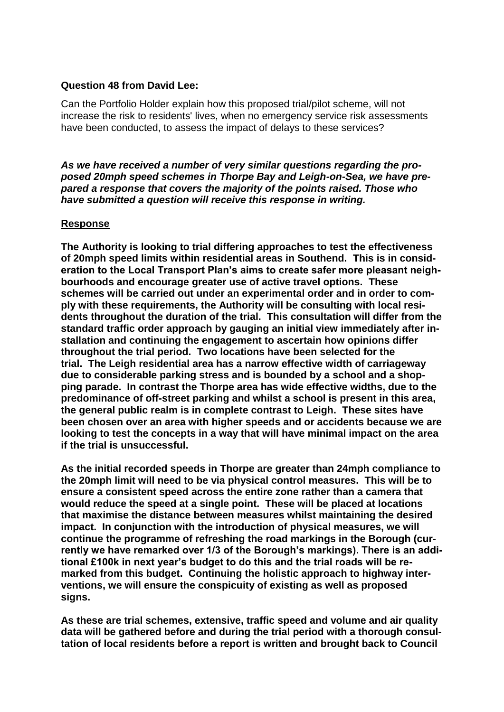### **Question 48 from David Lee:**

Can the Portfolio Holder explain how this proposed trial/pilot scheme, will not increase the risk to residents' lives, when no emergency service risk assessments have been conducted, to assess the impact of delays to these services?

*As we have received a number of very similar questions regarding the proposed 20mph speed schemes in Thorpe Bay and Leigh-on-Sea, we have prepared a response that covers the majority of the points raised. Those who have submitted a question will receive this response in writing.*

#### **Response**

**The Authority is looking to trial differing approaches to test the effectiveness of 20mph speed limits within residential areas in Southend. This is in consideration to the Local Transport Plan's aims to create safer more pleasant neighbourhoods and encourage greater use of active travel options. These schemes will be carried out under an experimental order and in order to comply with these requirements, the Authority will be consulting with local residents throughout the duration of the trial. This consultation will differ from the standard traffic order approach by gauging an initial view immediately after installation and continuing the engagement to ascertain how opinions differ throughout the trial period. Two locations have been selected for the trial. The Leigh residential area has a narrow effective width of carriageway due to considerable parking stress and is bounded by a school and a shopping parade. In contrast the Thorpe area has wide effective widths, due to the predominance of off-street parking and whilst a school is present in this area, the general public realm is in complete contrast to Leigh. These sites have been chosen over an area with higher speeds and or accidents because we are looking to test the concepts in a way that will have minimal impact on the area if the trial is unsuccessful.**

**As the initial recorded speeds in Thorpe are greater than 24mph compliance to the 20mph limit will need to be via physical control measures. This will be to ensure a consistent speed across the entire zone rather than a camera that would reduce the speed at a single point. These will be placed at locations that maximise the distance between measures whilst maintaining the desired impact. In conjunction with the introduction of physical measures, we will continue the programme of refreshing the road markings in the Borough (currently we have remarked over 1/3 of the Borough's markings). There is an additional £100k in next year's budget to do this and the trial roads will be remarked from this budget. Continuing the holistic approach to highway interventions, we will ensure the conspicuity of existing as well as proposed signs.** 

**As these are trial schemes, extensive, traffic speed and volume and air quality data will be gathered before and during the trial period with a thorough consultation of local residents before a report is written and brought back to Council**